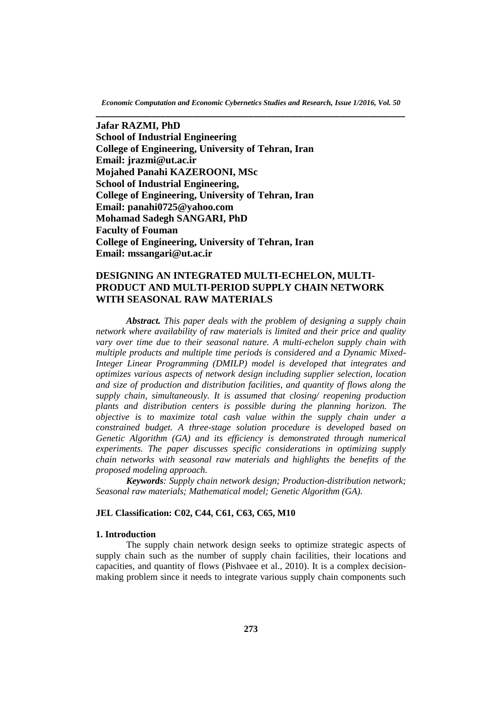*Economic Computation and Economic Cybernetics Studies and Research, Issue 1/2016, Vol. 50* **\_\_\_\_\_\_\_\_\_\_\_\_\_\_\_\_\_\_\_\_\_\_\_\_\_\_\_\_\_\_\_\_\_\_\_\_\_\_\_\_\_\_\_\_\_\_\_\_\_\_\_\_\_\_\_\_\_\_\_\_\_\_\_\_\_\_\_**

**Jafar RAZMI, PhD School of Industrial Engineering College of Engineering, University of Tehran, Iran Email: jrazmi@ut.ac.ir Mojahed Panahi KAZEROONI, MSc School of Industrial Engineering, College of Engineering, University of Tehran, Iran Email: panahi0725@yahoo.com Mohamad Sadegh SANGARI, PhD Faculty of Fouman College of Engineering, University of Tehran, Iran Email: mssangari@ut.ac.ir**

# **DESIGNING AN INTEGRATED MULTI-ECHELON, MULTI-PRODUCT AND MULTI-PERIOD SUPPLY CHAIN NETWORK WITH SEASONAL RAW MATERIALS**

*Abstract. This paper deals with the problem of designing a supply chain network where availability of raw materials is limited and their price and quality vary over time due to their seasonal nature. A multi-echelon supply chain with multiple products and multiple time periods is considered and a Dynamic Mixed-Integer Linear Programming (DMILP) model is developed that integrates and optimizes various aspects of network design including supplier selection, location and size of production and distribution facilities, and quantity of flows along the supply chain, simultaneously. It is assumed that closing/ reopening production plants and distribution centers is possible during the planning horizon. The objective is to maximize total cash value within the supply chain under a constrained budget. A three-stage solution procedure is developed based on Genetic Algorithm (GA) and its efficiency is demonstrated through numerical experiments. The paper discusses specific considerations in optimizing supply chain networks with seasonal raw materials and highlights the benefits of the proposed modeling approach.*

*Keywords: Supply chain network design; Production-distribution network; Seasonal raw materials; Mathematical model; Genetic Algorithm (GA).*

### **JEL Classification: C02, C44, C61, C63, C65, M10**

#### **1. Introduction**

The supply chain network design seeks to optimize strategic aspects of supply chain such as the number of supply chain facilities, their locations and capacities, and quantity of flows (Pishvaee et al., 2010). It is a complex decisionmaking problem since it needs to integrate various supply chain components such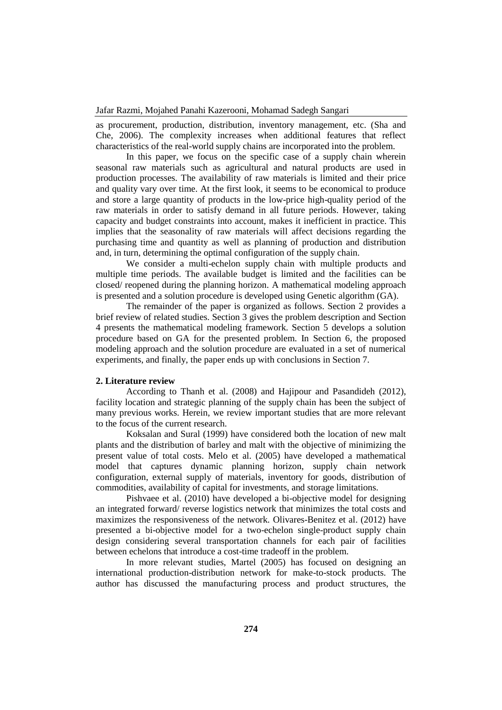as procurement, production, distribution, inventory management, etc. (Sha and Che, 2006). The complexity increases when additional features that reflect characteristics of the real-world supply chains are incorporated into the problem.

In this paper, we focus on the specific case of a supply chain wherein seasonal raw materials such as agricultural and natural products are used in production processes. The availability of raw materials is limited and their price and quality vary over time. At the first look, it seems to be economical to produce and store a large quantity of products in the low-price high-quality period of the raw materials in order to satisfy demand in all future periods. However, taking capacity and budget constraints into account, makes it inefficient in practice. This implies that the seasonality of raw materials will affect decisions regarding the purchasing time and quantity as well as planning of production and distribution and, in turn, determining the optimal configuration of the supply chain.

We consider a multi-echelon supply chain with multiple products and multiple time periods. The available budget is limited and the facilities can be closed/ reopened during the planning horizon. A mathematical modeling approach is presented and a solution procedure is developed using Genetic algorithm (GA).

The remainder of the paper is organized as follows. Section 2 provides a brief review of related studies. Section 3 gives the problem description and Section 4 presents the mathematical modeling framework. Section 5 develops a solution procedure based on GA for the presented problem. In Section 6, the proposed modeling approach and the solution procedure are evaluated in a set of numerical experiments, and finally, the paper ends up with conclusions in Section 7.

## **2. Literature review**

According to Thanh et al. (2008) and Hajipour and Pasandideh (2012), facility location and strategic planning of the supply chain has been the subject of many previous works. Herein, we review important studies that are more relevant to the focus of the current research.

Koksalan and Sural (1999) have considered both the location of new malt plants and the distribution of barley and malt with the objective of minimizing the present value of total costs. Melo et al. (2005) have developed a mathematical model that captures dynamic planning horizon, supply chain network configuration, external supply of materials, inventory for goods, distribution of commodities, availability of capital for investments, and storage limitations.

Pishvaee et al. (2010) have developed a bi-objective model for designing an integrated forward/ reverse logistics network that minimizes the total costs and maximizes the responsiveness of the network. Olivares-Benitez et al. (2012) have presented a bi-objective model for a two-echelon single-product supply chain design considering several transportation channels for each pair of facilities between echelons that introduce a cost-time tradeoff in the problem.

In more relevant studies, Martel (2005) has focused on designing an international production-distribution network for make-to-stock products. The author has discussed the manufacturing process and product structures, the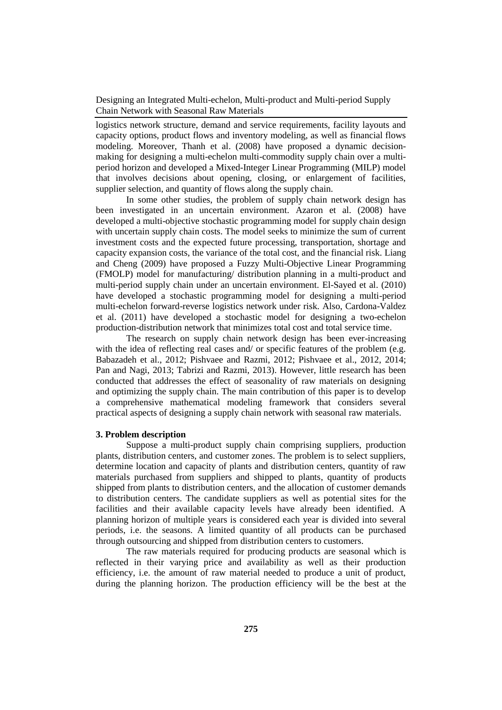logistics network structure, demand and service requirements, facility layouts and capacity options, product flows and inventory modeling, as well as financial flows modeling. Moreover, Thanh et al. (2008) have proposed a dynamic decisionmaking for designing a multi-echelon multi-commodity supply chain over a multiperiod horizon and developed a Mixed-Integer Linear Programming (MILP) model that involves decisions about opening, closing, or enlargement of facilities, supplier selection, and quantity of flows along the supply chain.

In some other studies, the problem of supply chain network design has been investigated in an uncertain environment. Azaron et al. (2008) have developed a multi-objective stochastic programming model for supply chain design with uncertain supply chain costs. The model seeks to minimize the sum of current investment costs and the expected future processing, transportation, shortage and capacity expansion costs, the variance of the total cost, and the financial risk. Liang and Cheng (2009) have proposed a Fuzzy Multi-Objective Linear Programming (FMOLP) model for manufacturing/ distribution planning in a multi-product and multi-period supply chain under an uncertain environment. El-Sayed et al. (2010) have developed a stochastic programming model for designing a multi-period multi-echelon forward-reverse logistics network under risk. Also, Cardona-Valdez et al. (2011) have developed a stochastic model for designing a two-echelon production-distribution network that minimizes total cost and total service time.

The research on supply chain network design has been ever-increasing with the idea of reflecting real cases and/ or specific features of the problem (e.g. Babazadeh et al., 2012; Pishvaee and Razmi, 2012; Pishvaee et al., 2012, 2014; Pan and Nagi, 2013; Tabrizi and Razmi, 2013). However, little research has been conducted that addresses the effect of seasonality of raw materials on designing and optimizing the supply chain. The main contribution of this paper is to develop a comprehensive mathematical modeling framework that considers several practical aspects of designing a supply chain network with seasonal raw materials.

#### **3. Problem description**

Suppose a multi-product supply chain comprising suppliers, production plants, distribution centers, and customer zones. The problem is to select suppliers, determine location and capacity of plants and distribution centers, quantity of raw materials purchased from suppliers and shipped to plants, quantity of products shipped from plants to distribution centers, and the allocation of customer demands to distribution centers. The candidate suppliers as well as potential sites for the facilities and their available capacity levels have already been identified. A planning horizon of multiple years is considered each year is divided into several periods, i.e. the seasons. A limited quantity of all products can be purchased through outsourcing and shipped from distribution centers to customers.

The raw materials required for producing products are seasonal which is reflected in their varying price and availability as well as their production efficiency, i.e. the amount of raw material needed to produce a unit of product, during the planning horizon. The production efficiency will be the best at the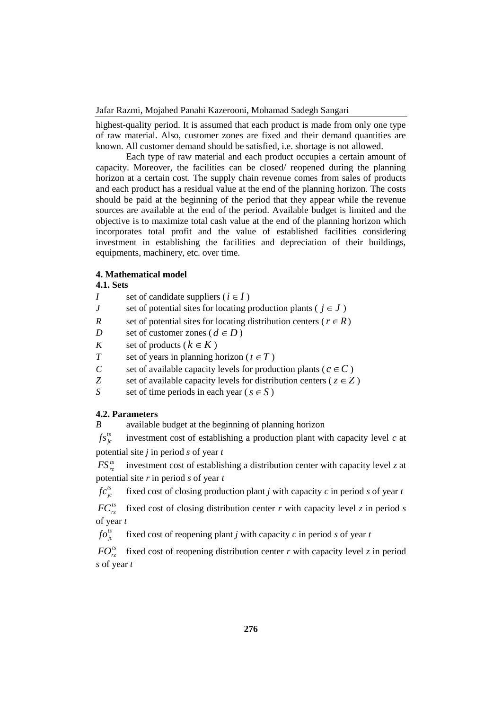highest-quality period. It is assumed that each product is made from only one type of raw material. Also, customer zones are fixed and their demand quantities are known. All customer demand should be satisfied, i.e. shortage is not allowed.

Each type of raw material and each product occupies a certain amount of capacity. Moreover, the facilities can be closed/ reopened during the planning horizon at a certain cost. The supply chain revenue comes from sales of products and each product has a residual value at the end of the planning horizon. The costs should be paid at the beginning of the period that they appear while the revenue sources are available at the end of the period. Available budget is limited and the objective is to maximize total cash value at the end of the planning horizon which incorporates total profit and the value of established facilities considering investment in establishing the facilities and depreciation of their buildings, equipments, machinery, etc. over time.

## **4. Mathematical model**

## **4.1. Sets**

| Ι                         | set of candidate suppliers ( $i \in I$ )                                |
|---------------------------|-------------------------------------------------------------------------|
| J                         | set of potential sites for locating production plants ( $j \in J$ )     |
| R                         | set of potential sites for locating distribution centers ( $r \in R$ )  |
| D                         | set of customer zones ( $d \in D$ )                                     |
| K                         | set of products ( $k \in K$ )                                           |
| T                         | set of years in planning horizon ( $t \in T$ )                          |
| $\mathcal C$              | set of available capacity levels for production plants ( $c \in C$ )    |
| Ζ                         | set of available capacity levels for distribution centers ( $z \in Z$ ) |
| S                         | set of time periods in each year ( $s \in S$ )                          |
|                           | 4.2. Parameters                                                         |
| B                         | available budget at the beginning of planning horizon                   |
| $\mathcal{L}_{\alpha}$ ts | increatment and of establishing a number of the plant with announce     |

 $f s_{j c}^{t s}$ investment cost of establishing a production plant with capacity level *c* at potential site *j* in period *s* of year *t*

 $FS_{\infty}^{ts}$ investment cost of establishing a distribution center with capacity level *z* at potential site *r* in period *s* of year *t*

 $f c_{j c}^{t s}$ fixed cost of closing production plant *j* with capacity *c* in period *s* of year *t*

 $FC_{rz}^{ts}$ fixed cost of closing distribution center *r* with capacity level *z* in period *s* of year *t*

*ts jc fo* fixed cost of reopening plant *j* with capacity *c* in period *s* of year *t*

 $FO_{rz}^{ts}$  fixed cost of reopening distribution center *r* with capacity level *z* in period *s* of year *t*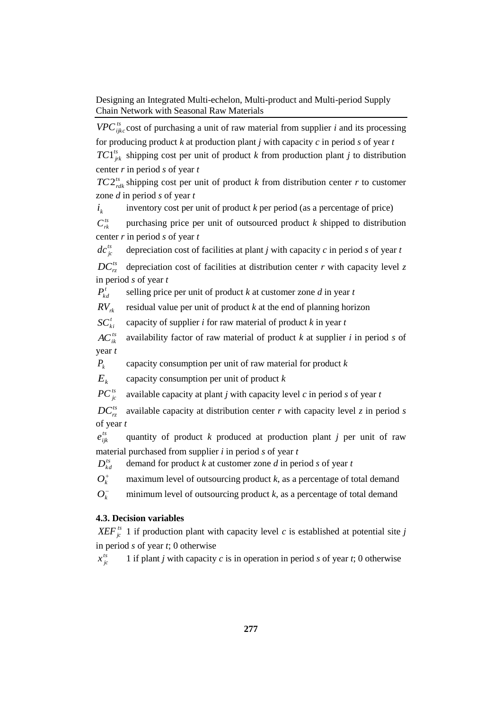*VPC*<sup>*ts*</sup><sub>*ijkc*</sub> cost of purchasing a unit of raw material from supplier *i* and its processing for producing product  $k$  at production plant  $j$  with capacity  $c$  in period  $s$  of year  $t$  $TC1^{ts}_{jrk}$  shipping cost per unit of product *k* from production plant *j* to distribution center *r* in period *s* of year *t*

 $TC2^{ts}_{rdk}$  shipping cost per unit of product *k* from distribution center *r* to customer zone *d* in period *s* of year *t*

*k i* inventory cost per unit of product *k* per period (as a percentage of price)

 $C^{ts}_{rk}$ purchasing price per unit of outsourced product *k* shipped to distribution center *r* in period *s* of year *t*

 $dc^{ts}_{jc}$ depreciation cost of facilities at plant *j* with capacity *c* in period *s* of year *t*

 $DC^{ts}$ depreciation cost of facilities at distribution center *r* with capacity level *z* in period *s* of year *t*

 $P_{k,d}^t$ selling price per unit of product *k* at customer zone *d* in year *t*

 $RV_{rk}$ residual value per unit of product *k* at the end of planning horizon

 $SC_{ki}^t$ capacity of supplier *i* for raw material of product *k* in year *t*

 $AC^{ts}_{ik}$ availability factor of raw material of product *k* at supplier *i* in period *s* of year *t*

 $P_k$ capacity consumption per unit of raw material for product *k*

 $E_k$ capacity consumption per unit of product *k*

 $PC^{ts}_{is}$ available capacity at plant *j* with capacity level *c* in period *s* of year *t*

 $DC^{ts}_{rz}$ available capacity at distribution center *r* with capacity level *z* in period *s* of year *t*

 $e_{ijk}^{ts}$ quantity of product *k* produced at production plant *j* per unit of raw material purchased from supplier *i* in period *s* of year *t*

 $D_{kd}^{ts}$ demand for product *k* at customer zone *d* in period *s* of year *t*

 $O_k^+$ maximum level of outsourcing product *k*, as a percentage of total demand

 $O<sub>k</sub>$ <sup>-</sup> minimum level of outsourcing product  $k$ , as a percentage of total demand

## **4.3. Decision variables**

*XEF*<sup>*ts*</sup><sub>*jc*</sub> 1 if production plant with capacity level *c* is established at potential site *j* in period *s* of year *t*; 0 otherwise

 $x_{jc}^{ts}$ 1 if plant *j* with capacity *c* is in operation in period *s* of year *t*; 0 otherwise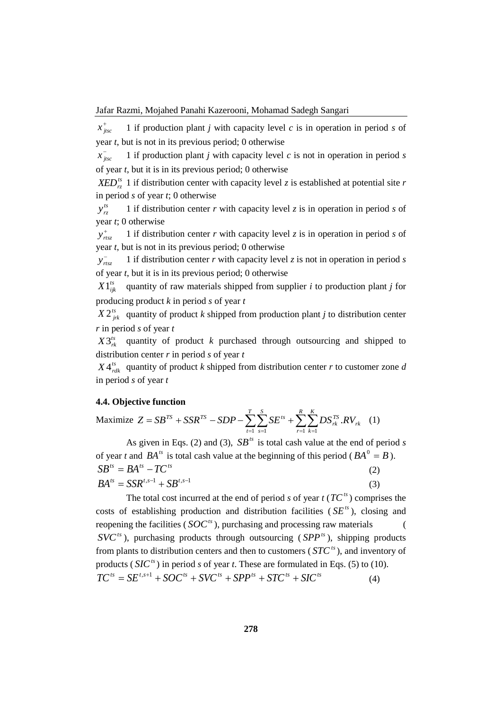$x_{\textit{jitsc}}^{+}$ 1 if production plant *j* with capacity level *c* is in operation in period *s* of year *t*, but is not in its previous period; 0 otherwise

 $x_{\textit{jtsc}}^-$ 1 if production plant *j* with capacity level *c* is not in operation in period *s* of year *t*, but it is in its previous period; 0 otherwise

 $XED_{rz}^{ts}$  1 if distribution center with capacity level *z* is established at potential site *r* in period *s* of year *t*; 0 otherwise

 $y_{rz}^{ts}$ 1 if distribution center *r* with capacity level *z* is in operation in period *s* of year *t*; 0 otherwise

 $y_{rtsz}^+$ 1 if distribution center *r* with capacity level *z* is in operation in period *s* of year *t*, but is not in its previous period; 0 otherwise

 $y_{rtsz}^-$ 1 if distribution center *r* with capacity level *z* is not in operation in period *s* of year *t*, but it is in its previous period; 0 otherwise

 $X1^{ts}_{iik}$ quantity of raw materials shipped from supplier *i* to production plant *j* for producing product *k* in period *s* of year *t*

 $X 2^{ts}_{jrk}$  quantity of product *k* shipped from production plant *j* to distribution center *r* in period *s* of year *t*

 $X3^{ts}_{rk}$  quantity of product *k* purchased through outsourcing and shipped to distribution center *r* in period *s* of year *t*

 $X 4^{ts}_{rdk}$  quantity of product *k* shipped from distribution center *r* to customer zone *d* in period *s* of year *t*

## **4.4. Objective function**

Maximize 
$$
Z = SB^{TS} + SSR^{TS} - SDP - \sum_{t=1}^{T} \sum_{s=1}^{S} SE^{ts} + \sum_{r=1}^{R} \sum_{k=1}^{K} DS_{rk}^{TS} .RV_{rk}
$$
 (1)

As given in Eqs. (2) and (3),  $SB<sup>ts</sup>$  is total cash value at the end of period *s* of year *t* and  $BA^{ts}$  is total cash value at the beginning of this period ( $BA^{0} = B$ ).  $SB^{ts} = BA^{ts} - TC^{ts}$ (2)  $BA^{ts} = SSR^{t,s-1} + SB^{t,s-1}$ (3)

The total cost incurred at the end of period *s* of year  $t$  ( $TC<sup>ts</sup>$ ) comprises the costs of establishing production and distribution facilities  $(SE^{ts})$ , closing and reopening the facilities ( $SOC^s$ ), purchasing and processing raw materials (  $SVC<sup>ts</sup>$ ), purchasing products through outsourcing ( $SPP<sup>ts</sup>$ ), shipping products from plants to distribution centers and then to customers ( $STC<sup>ts</sup>$ ), and inventory of products ( $SIC<sup>ts</sup>$ ) in period *s* of year *t*. These are formulated in Eqs. (5) to (10).  $TC^{ts} = SE^{t,s+1} + SOC^{ts} + SVC^{ts} + SPP^{ts} + STC^{ts} + SIC^{ts}$  $(4)$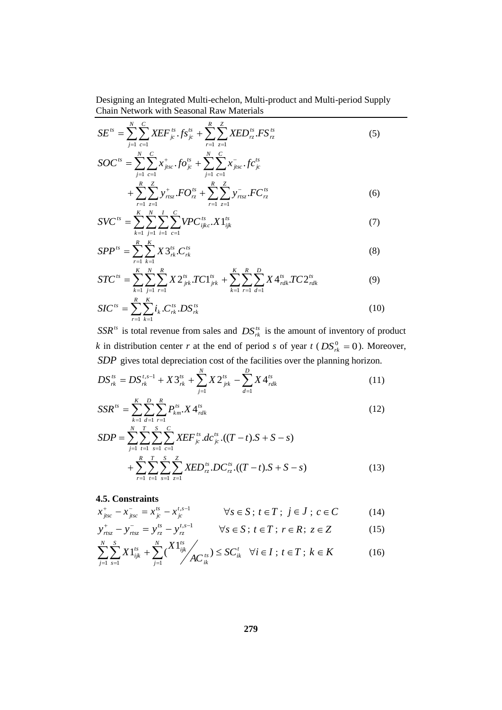$$
SE^{ts} = \sum_{j=1}^{N} \sum_{c=1}^{C} XEF^{ts}_{jc} \cdot fs^{ts}_{jc} + \sum_{r=1}^{R} \sum_{z=1}^{Z} XED^{ts}_{rz} \cdot FS^{ts}_{rz}
$$
(5)

$$
SOC^{ts} = \sum_{j=1}^{N} \sum_{c=1}^{C} x_{jisc}^{+} \cdot f O_{jc}^{ts} + \sum_{j=1}^{N} \sum_{c=1}^{C} x_{jisc}^{-} \cdot f C_{jc}^{ts} + \sum_{r=1}^{R} \sum_{z=1}^{Z} y_{ritsz}^{+} \cdot F O_{rz}^{ts} + \sum_{r=1}^{R} \sum_{z=1}^{Z} y_{rtsz}^{-} \cdot F C_{rz}^{ts}
$$
(6)

$$
SVC^{ts} = \sum_{k=1}^{K} \sum_{j=1}^{N} \sum_{i=1}^{I} \sum_{c=1}^{C} VPC_{ijkc}^{ts} . X1_{ijk}^{ts}
$$
(7)

$$
SPP^{ts} = \sum_{r=1}^{R} \sum_{k=1}^{K} X3^{ts}_{rk} \cdot C^{ts}_{rk}
$$
 (8)

$$
STC^{ts} = \sum_{k=1}^{K} \sum_{j=1}^{N} \sum_{r=1}^{R} X 2^{ts}_{jrk} . TC1^{ts}_{jrk} + \sum_{k=1}^{K} \sum_{r=1}^{R} \sum_{d=1}^{D} X 4^{ts}_{rdk} . TC2^{ts}_{rdk}
$$
(9)

$$
SIC^{ts} = \sum_{r=1}^{R} \sum_{k=1}^{K} i_k . C_{rk}^{ts} . DS_{rk}^{ts}
$$
 (10)

 $SSR<sup>ts</sup>$  is total revenue from sales and  $DS<sup>ts</sup><sub>rk</sub>$  is the amount of inventory of product *k* in distribution center *r* at the end of period *s* of year  $t$  ( $DS_{rk}^0 = 0$ ). Moreover, *SDP* gives total depreciation cost of the facilities over the planning horizon.

$$
DS_{rk}^{ts} = DS_{rk}^{t,s-1} + X3_{rk}^{ts} + \sum_{j=1}^{N} X2_{jrk}^{ts} - \sum_{d=1}^{D} X4_{rdk}^{ts}
$$
(11)

$$
SSR^{ts} = \sum_{k=1}^{K} \sum_{d=1}^{D} \sum_{r=1}^{R} P_{km}^{ts} X 4_{rdk}^{ts}
$$
 (12)

$$
SDP = \sum_{j=1}^{N} \sum_{t=1}^{T} \sum_{s=1}^{S} \sum_{c=1}^{C} XEF_{jc}^{ts} dc_{jc}^{ts} \cdot ((T-t).S + S - s)
$$
  
+ 
$$
\sum_{r=1}^{R} \sum_{t=1}^{T} \sum_{s=1}^{S} \sum_{z=1}^{Z} XED_{rz}^{ts} \cdot DC_{rz}^{ts} \cdot ((T-t).S + S - s)
$$
(13)

# **4.5. Constraints**

$$
x_{jisc}^{+} - x_{jisc}^{-} = x_{jc}^{ts} - x_{jc}^{t,s-1} \qquad \forall s \in S; t \in T; j \in J; c \in C
$$
 (14)

$$
y_{rtsz}^{+} - y_{rtsz}^{-} = y_{rz}^{ts} - y_{rz}^{t,s-1} \qquad \forall s \in S; t \in T; r \in R; z \in Z
$$
 (15)

$$
\sum_{j=1}^{N} \sum_{s=1}^{S} X 1_{ijk}^{ts} + \sum_{j=1}^{N} {X 1_{ijk}^{ts} \choose A C_{ik}^{ts}} \le SC_{ik}^{t} \quad \forall i \in I \; ; \; t \in T \; ; \; k \in K
$$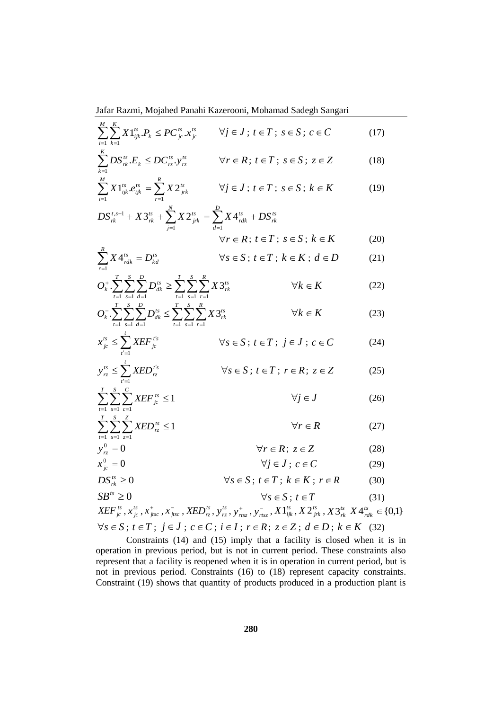$$
\sum_{i=1}^{M} \sum_{k=1}^{K} X 1_{ijk}^{ts} P_k \le P C_{j_c}^{ts} . x_{j_c}^{ts} \qquad \forall j \in J \; ; \; t \in T \; ; \; s \in S \; ; \; c \in C
$$
\n(17)

$$
\sum_{k=1}^{s} DS_{rk}^{ts} E_k \le DC_{rz}^{ts} y_{rz}^{ts} \qquad \forall r \in R; t \in T; s \in S; z \in Z \qquad (18)
$$

$$
\sum_{i=1}^{M} X 1_{ijk}^{ts} e_{ijk}^{ts} = \sum_{r=1}^{R} X 2_{jrk}^{ts} \qquad \forall j \in J \, ; \, t \in T \, ; \, s \in S \, ; \, k \in K \tag{19}
$$

$$
DS_{rk}^{t,s-1} + X3_{rk}^{ts} + \sum_{j=1}^{N} X2_{jrk}^{ts} = \sum_{d=1}^{D} X4_{rdk}^{ts} + DS_{rk}^{ts}
$$
  

$$
\forall r \in R; t \in T; s \in S; k \in K
$$
 (20)

$$
\sum_{r=1}^{K} X 4^{ts}_{rdk} = D^{ts}_{kd} \qquad \qquad \forall s \in S; \ t \in T; \ k \in K; \ d \in D \tag{21}
$$

$$
O_k^{\dagger} \cdot \sum_{t=1}^T \sum_{s=1}^S \sum_{d=1}^D D_{dk}^{ts} \ge \sum_{t=1}^T \sum_{s=1}^S \sum_{r=1}^R X 3_{rk}^{ts} \qquad \forall k \in K
$$
 (22)

$$
O_k^- \sum_{t=1}^T \sum_{s=1}^S \sum_{d=1}^D D_{dk}^{ts} \le \sum_{t=1}^T \sum_{s=1}^S \sum_{r=1}^R X 3_{rk}^{ts} \qquad \forall k \in K
$$
 (23)

$$
x_{j_c}^{ts} \le \sum_{t'=1}^t XEF_{j_c}^{t's} \qquad \forall s \in S \, ; \, t \in T \, ; \, j \in J \, ; \, c \in C \tag{24}
$$

$$
y_{rz}^{ts} \le \sum_{t'=1}^{t} XED_{rz}^{t's} \qquad \forall s \in S; t \in T; r \in R; z \in Z \qquad (25)
$$

$$
\sum_{t=1}^{T} \sum_{s=1}^{S} \sum_{c=1}^{C} XEF_{jc}^{ts} \le 1 \qquad \forall j \in J \qquad (26)
$$

$$
\sum_{t=1}^{T} \sum_{s=1}^{S} \sum_{z=1}^{Z} XED_{rz}^{ts} \le 1 \qquad \forall r \in R \tag{27}
$$

$$
y_{rz}^0 = 0 \qquad \forall r \in R; z \in Z \tag{28}
$$
\n
$$
x_0^0 = 0 \qquad \forall i \in I; z \in C \tag{29}
$$

$$
x_{j_c}^0 = 0 \qquad \forall j \in J; c \in C \qquad (29)
$$

$$
DS_{rk}^{ts} \ge 0 \qquad \qquad \forall s \in S \, ; \, t \in T \, ; \, k \in K \, ; \, r \in R \tag{30}
$$

$$
SB^{ts} \ge 0 \qquad \forall s \in S; t \in T
$$
\n
$$
SEF^{ts} = \frac{t}{s} \qquad \text{where } s \in T \qquad (31)
$$

$$
XEF_{j_c}^{ts}, x_{j_c}^{ts}, x_{jts}^+, x_{jts}^-, XED_{rz}^{ts}, y_{rz}^+, y_{rts}^+, y_{rts}^-, X1_{ijk}^{ts}, X2_{jrk}^{ts}, X3_{rk}^{ts} X4_{rdk}^{ts} \in \{0,1\}
$$
  

$$
\forall s \in S; t \in T; j \in J; c \in C; i \in I; r \in R; z \in Z; d \in D; k \in K \quad (32)
$$

Constraints (14) and (15) imply that a facility is closed when it is in operation in previous period, but is not in current period. These constraints also represent that a facility is reopened when it is in operation in current period, but is not in previous period. Constraints (16) to (18) represent capacity constraints. Constraint (19) shows that quantity of products produced in a production plant is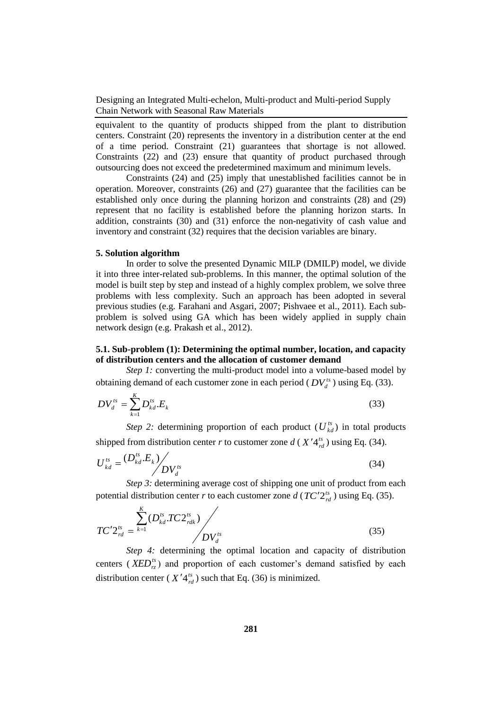equivalent to the quantity of products shipped from the plant to distribution centers. Constraint (20) represents the inventory in a distribution center at the end of a time period. Constraint (21) guarantees that shortage is not allowed. Constraints (22) and (23) ensure that quantity of product purchased through outsourcing does not exceed the predetermined maximum and minimum levels.

Constraints (24) and (25) imply that unestablished facilities cannot be in operation. Moreover, constraints (26) and (27) guarantee that the facilities can be established only once during the planning horizon and constraints (28) and (29) represent that no facility is established before the planning horizon starts. In addition, constraints (30) and (31) enforce the non-negativity of cash value and inventory and constraint (32) requires that the decision variables are binary.

#### **5. Solution algorithm**

In order to solve the presented Dynamic MILP (DMILP) model, we divide it into three inter-related sub-problems. In this manner, the optimal solution of the model is built step by step and instead of a highly complex problem, we solve three problems with less complexity. Such an approach has been adopted in several previous studies (e.g. Farahani and Asgari, 2007; Pishvaee et al., 2011). Each subproblem is solved using GA which has been widely applied in supply chain network design (e.g. Prakash et al., 2012).

## **5.1. Sub-problem (1): Determining the optimal number, location, and capacity of distribution centers and the allocation of customer demand**

*Step 1:* converting the multi-product model into a volume-based model by obtaining demand of each customer zone in each period ( $DV_d^{ts}$ ) using Eq. (33).

$$
DV_d^{ts} = \sum_{k=1}^{K} D_{kd}^{ts} . E_k
$$
 (33)

*Step 2:* determining proportion of each product  $(U_{kd}^{ts})$  in total products shipped from distribution center *r* to customer zone  $d(X'4_{rd}^{ts})$  using Eq. (34).

$$
U_{kd}^{ts} = \frac{(D_{kd}^{ts} \cdot E_k)}{D V_d^{ts}}
$$
 (34)

*Step 3:* determining average cost of shipping one unit of product from each potential distribution center *r* to each customer zone  $d$  ( $TC'2_{rd}^{ts}$ ) using Eq. (35).

$$
TC'2_{rd}^{ts} = \frac{\sum_{k=1}^{K} (D_{kd}^{ts}TC2_{rdk}^{ts})}{\sum_{d} U_{d}^{ts}}
$$
(35)

*Step 4:* determining the optimal location and capacity of distribution centers ( $XED_{rz}^{ts}$ ) and proportion of each customer's demand satisfied by each distribution center ( $X'4_{rd}^{ts}$ ) such that Eq. (36) is minimized.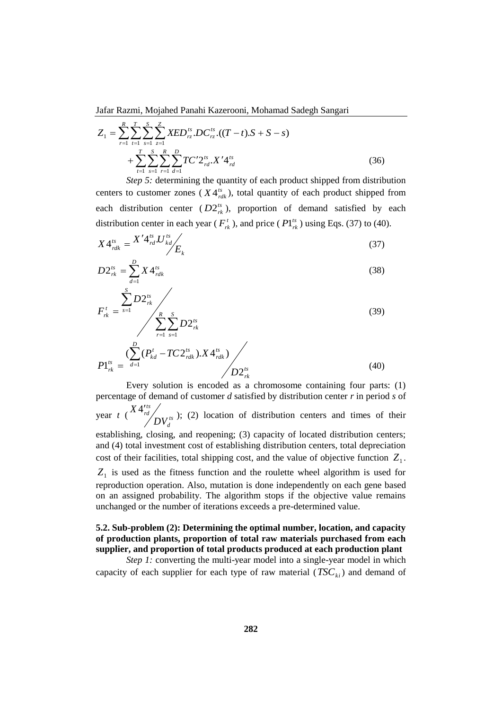$$
Z_{1} = \sum_{r=1}^{R} \sum_{t=1}^{T} \sum_{s=1}^{S} \sum_{z=1}^{Z} XED_{rz}^{ts} \cdot DC_{rz}^{ts} \cdot ((T-t) \cdot S + S - s)
$$
  
+ 
$$
\sum_{t=1}^{T} \sum_{s=1}^{S} \sum_{r=1}^{R} \sum_{d=1}^{D} TC' 2_{rd}^{ts} \cdot X' 4_{rd}^{ts}
$$
(36)

*Step 5:* determining the quantity of each product shipped from distribution centers to customer zones ( $X4^{ts}_{rdk}$ ), total quantity of each product shipped from each distribution center  $(D2^{ts}_{rk})$ , proportion of demand satisfied by each distribution center in each year ( $F_{rk}^t$ ), and price ( $PI_{rk}^{ts}$ ) using Eqs. (37) to (40).

$$
X4_{rdk}^{ts} = \frac{X'4_{rd}^{ts}U_{kd}^{ts}}{E_k} \tag{37}
$$

$$
D2_{rk}^{ts} = \sum_{d=1}^{D} X4_{rdk}^{ts} \tag{38}
$$

$$
F_{rk}^{t} = \frac{\sum_{s=1}^{S} D2_{rk}^{ts}}{\sum_{r=1}^{R} \sum_{s=1}^{S} D2_{rk}^{ts}}
$$
(39)

$$
P1_{rk}^{ts} = \frac{\left(\sum_{d=1}^{t} (P_{kd}^{t} - TC2_{rdk}^{ts}) \cdot X4_{rdk}^{ts}\right)}{D2_{rk}^{ts}}
$$
(40)

Every solution is encoded as a chromosome containing four parts: (1) percentage of demand of customer *d* satisfied by distribution center *r* in period *s* of year  $t \left( \frac{1}{t} \frac{d}{dt} \right)$  *NVts d ts rd DV*  $X4^{ts}_{rd}$  (2) location of distribution centers and times of their establishing, closing, and reopening; (3) capacity of located distribution centers; and (4) total investment cost of establishing distribution centers, total depreciation cost of their facilities, total shipping cost, and the value of objective function  $Z_1$ . *Z*1 is used as the fitness function and the roulette wheel algorithm is used for reproduction operation. Also, mutation is done independently on each gene based on an assigned probability. The algorithm stops if the objective value remains unchanged or the number of iterations exceeds a pre-determined value.

# **5.2. Sub-problem (2): Determining the optimal number, location, and capacity of production plants, proportion of total raw materials purchased from each supplier, and proportion of total products produced at each production plant**

*Step 1:* converting the multi-year model into a single-year model in which capacity of each supplier for each type of raw material  $(TSC_{ki})$  and demand of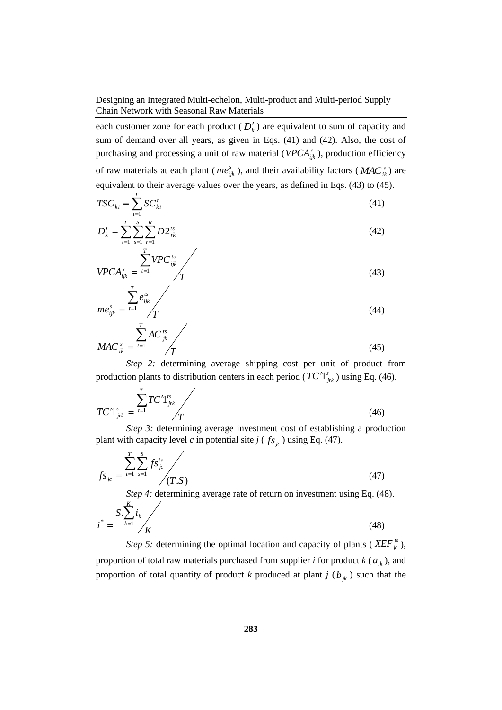each customer zone for each product  $(D'_k)$  are equivalent to sum of capacity and sum of demand over all years, as given in Eqs. (41) and (42). Also, the cost of purchasing and processing a unit of raw material ( $VPCA_{ijk}^s$ ), production efficiency of raw materials at each plant ( $me^{s}_{ijk}$ ), and their availability factors ( $MAC^{s}_{ik}$ ) are equivalent to their average values over the years, as defined in Eqs. (43) to (45).

$$
TSC_{ki} = \sum_{t=1}^{T} SC_{ki}^{t}
$$
 (41)

$$
D'_{k} = \sum_{t=1}^{T} \sum_{s=1}^{S} \sum_{r=1}^{R} D 2^{ts}_{rk}
$$
 (42)

$$
VPCA_{ijk}^{s} = \frac{\sum_{t=1}^{s} VPC_{ijk}^{ts}}{T}
$$
\n(43)

$$
me_{ijk}^s = \frac{\sum_{t=1}^{T} e_{ijk}^{ts}}{T}
$$
\n
$$
\sum_{t=1}^{T} AC^{ts}
$$
\n(44)

*T AC*  $MAC^{\,s}_{ik} = t$  $\sum_{t=1}^{\infty}$ <sup>*n*C</sup> jk *ik*  $\sum$  $=$   $t=1$ (45)

*Step 2:* determining average shipping cost per unit of product from production plants to distribution centers in each period ( $TC'1^s_{jrk}$ ) using Eq. (46).

$$
TC'I_{jrk}^{s} = \frac{\sum_{t=1}^{T} TC'I_{jrk}^{ts}}{T}
$$
\n(46)

*Step 3:* determining average investment cost of establishing a production plant with capacity level *c* in potential site  $j$  ( $f_{s_{j_c}}$ ) using Eq. (47).

$$
f_{S_{jc}} = \sum_{t=1}^{T} \sum_{s=1}^{S} f_{S_{jc}}^{ts} / (T.S)
$$
 (47)

*Step 4:* determining average rate of return on investment using Eq. (48).

$$
i^* = \frac{S \cdot \sum_{k=1}^{N} i_k}{K}
$$
\n(48)

*K*

*Step 5:* determining the optimal location and capacity of plants ( $XEF^{ts}_{jc}$ ), proportion of total raw materials purchased from supplier *i* for product  $k$  ( $a_{ik}$ ), and proportion of total quantity of product *k* produced at plant *j*  $(b_{jk})$  such that the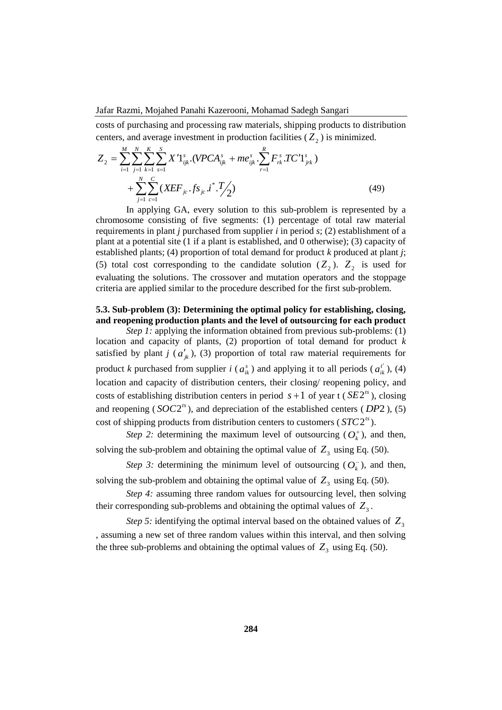costs of purchasing and processing raw materials, shipping products to distribution centers, and average investment in production facilities  $(Z_2)$  is minimized.

$$
Z_{2} = \sum_{i=1}^{M} \sum_{j=1}^{N} \sum_{k=1}^{K} \sum_{s=1}^{S} X' 1_{ijk}^{s} \cdot (VPCA_{ijk}^{s} + me_{ijk}^{s} \cdot \sum_{r=1}^{R} F_{rk}^{s} T C' 1_{jrk}^{s}) + \sum_{j=1}^{N} \sum_{c=1}^{C} (XEF_{jc} \cdot fs_{jc} i^{*} \cdot T/2)
$$
(49)

In applying GA, every solution to this sub-problem is represented by a chromosome consisting of five segments: (1) percentage of total raw material requirements in plant *j* purchased from supplier *i* in period *s*; (2) establishment of a plant at a potential site (1 if a plant is established, and 0 otherwise); (3) capacity of established plants; (4) proportion of total demand for product *k* produced at plant *j*; (5) total cost corresponding to the candidate solution  $(Z_2)$ .  $Z_2$  is used for evaluating the solutions. The crossover and mutation operators and the stoppage criteria are applied similar to the procedure described for the first sub-problem.

# **5.3. Sub-problem (3): Determining the optimal policy for establishing, closing, and reopening production plants and the level of outsourcing for each product**

*Step 1:* applying the information obtained from previous sub-problems: (1) location and capacity of plants, (2) proportion of total demand for product *k* satisfied by plant *j* ( $a'_{jk}$ ), (3) proportion of total raw material requirements for product *k* purchased from supplier *i* ( $a_{ik}^s$ ) and applying it to all periods ( $a_{ik}^{t'}$ ), (4) location and capacity of distribution centers, their closing/ reopening policy, and costs of establishing distribution centers in period  $s + 1$  of year t ( $SE2<sup>ts</sup>$ ), closing and reopening ( $SOC2<sup>ts</sup>$ ), and depreciation of the established centers ( $DP2$ ), (5) cost of shipping products from distribution centers to customers  $(STC2<sup>ts</sup>)$ .

*Step 2:* determining the maximum level of outsourcing  $(O_k^+)$ , and then, solving the sub-problem and obtaining the optimal value of  $Z_3$  using Eq. (50).

*Step 3:* determining the minimum level of outsourcing  $(O_k^-)$ , and then, solving the sub-problem and obtaining the optimal value of  $Z_3$  using Eq. (50).

*Step 4:* assuming three random values for outsourcing level, then solving their corresponding sub-problems and obtaining the optimal values of  $Z_3$ .

*Step 5:* identifying the optimal interval based on the obtained values of  $Z_3$ , assuming a new set of three random values within this interval, and then solving the three sub-problems and obtaining the optimal values of  $Z_3$  using Eq. (50).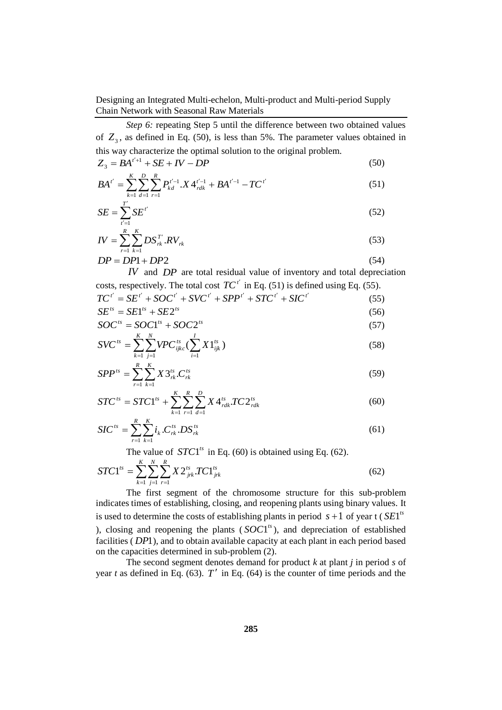*Step 6:* repeating Step 5 until the difference between two obtained values of  $Z_3$ , as defined in Eq. (50), is less than 5%. The parameter values obtained in this way characterize the optimal solution to the original problem.

$$
Z_3 = BA^{t'+1} + SE + IV - DP \tag{50}
$$

$$
BA^{t'} = \sum_{k=1}^{K} \sum_{d=1}^{D} \sum_{r=1}^{R} P_{kd}^{t'-1} \cdot X \, 4_{rdk}^{t'-1} + BA^{t'-1} - TC^{t'} \tag{51}
$$

$$
SE = \sum_{t'=1}^{T'} SE^{t'} \tag{52}
$$

$$
IV = \sum_{r=1}^{R} \sum_{k=1}^{K} DS_{rk}^{T'} . RV_{rk}
$$
 (53)

$$
DP = DP1 + DP2 \tag{54}
$$

*IV* and *DP* are total residual value of inventory and total depreciation costs, respectively. The total cost  $TC^{t'}$  in Eq. (51) is defined using Eq. (55).

$$
TC^{t'} = SE^{t'} + SOC^{t'} + SVC^{t'} + SPP^{t'} + STC^{t'} + SIC^{t'}
$$
\n
$$
SE^{ts} = SE1^{ts} + SE2^{ts}
$$
\n(55)

$$
SOC^{ts} = SOC1^{ts} + SOC2^{ts}
$$
 (57)

$$
SVC^{ts} = \sum_{k=1}^{K} \sum_{j=1}^{N} VPC_{ijkc}^{ts} (\sum_{i=1}^{I} X1_{ijk}^{ts})
$$
 (58)

$$
SPP^{ts} = \sum_{r=1}^{R} \sum_{k=1}^{K} X 3^{ts}_{rk} C^{ts}_{rk}
$$
 (59)

$$
STC^{ts} = STC1^{ts} + \sum_{k=1}^{K} \sum_{r=1}^{R} \sum_{d=1}^{D} X4^{ts}_{rdk} \cdot TC2^{ts}_{rdk}
$$
(60)

$$
SIC^{ts} = \sum_{r=1}^{R} \sum_{k=1}^{K} i_k . C_{rk}^{ts} . DS_{rk}^{ts}
$$
 (61)

The value of  $STC1^{ts}$  in Eq. (60) is obtained using Eq. (62).

$$
STC1^{ts} = \sum_{k=1}^{K} \sum_{j=1}^{N} \sum_{r=1}^{R} X 2_{jrk}^{ts} T C1_{jrk}^{ts}
$$
(62)

The first segment of the chromosome structure for this sub-problem indicates times of establishing, closing, and reopening plants using binary values. It is used to determine the costs of establishing plants in period  $s + 1$  of year t ( $SE1<sup>ts</sup>$ ), closing and reopening the plants  $(SOCl<sup>ts</sup>)$ , and depreciation of established facilities (*DP*1), and to obtain available capacity at each plant in each period based on the capacities determined in sub-problem (2).

The second segment denotes demand for product *k* at plant *j* in period *s* of year  $t$  as defined in Eq. (63).  $T'$  in Eq. (64) is the counter of time periods and the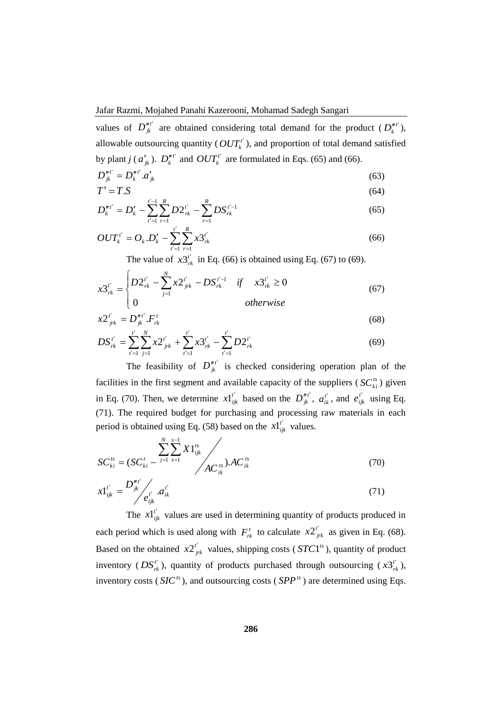values of  $D_{jk}^{n'}$  are obtained considering total demand for the product  $(D_k^{n'}),$ allowable outsourcing quantity ( $OUT<sub>k</sub><sup>t'</sup>$ ), and proportion of total demand satisfied by plant *j* ( $a'_{jk}$ ).  $D_k^{n'}$  and  $OUT_k^{t'}$  are formulated in Eqs. (65) and (66).

$$
D_{jk}^{n'} = D_k^{n'} a'_{jk} \tag{63}
$$

$$
T' = T.S
$$
\n
$$
t' = R
$$
\n(64)

$$
D_k''^{t'} = D_k' - \sum_{t'=1}^{t'-1} \sum_{r=1}^R D2_{rk}^{t'} - \sum_{r=1}^R DS_{rk}^{t'-1}
$$
 (65)

$$
OUT_k^{t'} = O_k.D_k' - \sum_{t'=1}^{t'} \sum_{r=1}^{R} x 3_{rk}^{t'} \tag{66}
$$

The value of  $x3_{rk}^{t'}$  in Eq. (66) is obtained using Eq. (67) to (69).

$$
x3_{rk}^{i'} = \begin{cases} D2_{rk}^{i'} - \sum_{j=1}^{N} x2_{jrk}^{i'} - DS_{rk}^{i'-1} & \text{if } x3_{rk}^{i'} \ge 0\\ 0 & \text{otherwise} \end{cases}
$$
(67)

$$
x2_{jrk}^{t'} = D_{jk}^{n'} \cdot F_{rk}^t \tag{68}
$$

$$
DS_{rk}^{t'} = \sum_{t'=1}^{t'} \sum_{j=1}^{N} x 2_{jrk}^{t'} + \sum_{t'=1}^{t'} x 3_{rk}^{t'} - \sum_{t'=1}^{t'} D 2_{rk}^{t'} \tag{69}
$$

The feasibility of  $D_{jk}^{n'}$  is checked considering operation plan of the facilities in the first segment and available capacity of the suppliers ( $SC^{ts}_{ki}$ ) given in Eq. (70). Then, we determine  $x1_{ijk}^{t'}$  based on the  $D_{jk}^{n'}$ ,  $a_{ik}^{t'}$ , and  $e_{ijk}^{t'}$  using Eq. (71). The required budget for purchasing and processing raw materials in each period is obtained using Eq. (58) based on the  $x1_{ijk}^{t'}$  values.

$$
SC_{ki}^{ts} = (SC_{ki}^t - \frac{\sum_{j=1}^N \sum_{s=1}^{s-1} X1_{ijk}^{ts}}{AC_{ik}^{ts}}) . AC_{ik}^{ts}
$$
 (70)

$$
x1_{ijk}^{t'} = \frac{D_{jk}^{nt'}}{e_{ijk}^{t'}} a_{ik}^{t'} \tag{71}
$$

The  $x1_{ijk}^{t'}$  values are used in determining quantity of products produced in each period which is used along with  $F_{rk}^t$  to calculate  $x2_{jrk}^{t'}$  as given in Eq. (68). Based on the obtained  $x2^{t'}_{jrk}$  values, shipping costs (*STC*1<sup>ts</sup>), quantity of product inventory ( $DS'_{rk}$ ), quantity of products purchased through outsourcing ( $x3'_{rk}$ ), inventory costs ( $SIC<sup>ts</sup>$ ), and outsourcing costs ( $SPP<sup>ts</sup>$ ) are determined using Eqs.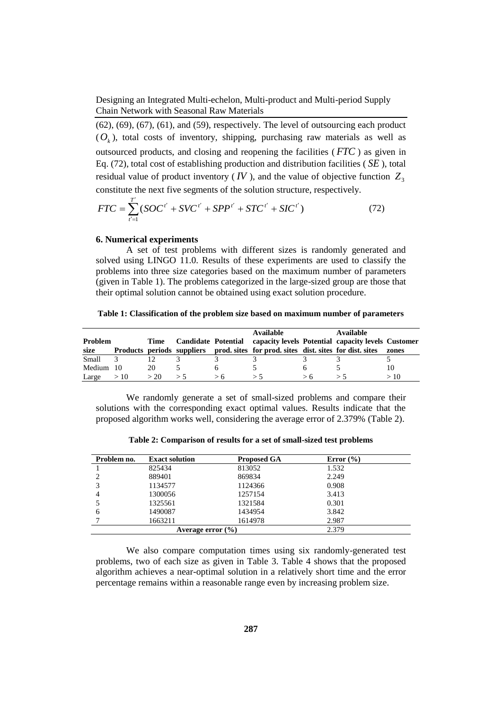$(62)$ ,  $(69)$ ,  $(67)$ ,  $(61)$ , and  $(59)$ , respectively. The level of outsourcing each product  $(O<sub>k</sub>)$ , total costs of inventory, shipping, purchasing raw materials as well as outsourced products, and closing and reopening the facilities ( *FTC* ) as given in Eq. (72), total cost of establishing production and distribution facilities ( *SE* ), total residual value of product inventory (*IV*), and the value of objective function  $Z_3$ constitute the next five segments of the solution structure, respectively.

$$
FTC = \sum_{i'=1}^{T'} (SOC^{i'} + SVC^{i'} + SPP^{i'} + STC^{i'} + SIC^{i'})
$$
 (72)

### **6. Numerical experiments**

A set of test problems with different sizes is randomly generated and solved using LINGO 11.0. Results of these experiments are used to classify the problems into three size categories based on the maximum number of parameters (given in Table 1). The problems categorized in the large-sized group are those that their optimal solution cannot be obtained using exact solution procedure.

|  | Table 1: Classification of the problem size based on maximum number of parameters |  |  |  |  |  |  |  |
|--|-----------------------------------------------------------------------------------|--|--|--|--|--|--|--|
|--|-----------------------------------------------------------------------------------|--|--|--|--|--|--|--|

|         |      |      |    |     | <b>Available</b>                                                                   | Available |       |
|---------|------|------|----|-----|------------------------------------------------------------------------------------|-----------|-------|
| Problem |      | Time |    |     | Candidate Potential capacity levels Potential capacity levels Customer             |           |       |
| size    |      |      |    |     | Products periods suppliers prod. sites for prod. sites dist. sites for dist. sites |           | zones |
| Small   |      |      |    |     |                                                                                    |           |       |
| Medium  | - 10 | 20   |    |     |                                                                                    |           | 10    |
| Large   | >10  | > 20 | ゝヽ | > h | ゝヽ                                                                                 |           | >10   |

We randomly generate a set of small-sized problems and compare their solutions with the corresponding exact optimal values. Results indicate that the proposed algorithm works well, considering the average error of 2.379% (Table 2).

| Problem no. | <b>Exact solution</b> | <b>Proposed GA</b> | Error $(\% )$ |  |
|-------------|-----------------------|--------------------|---------------|--|
|             | 825434                | 813052             | 1.532         |  |
|             | 889401                | 869834             | 2.249         |  |
|             | 1134577               | 1124366            | 0.908         |  |
| 4           | 1300056               | 1257154            | 3.413         |  |
|             | 1325561               | 1321584            | 0.301         |  |
| 6           | 1490087               | 1434954            | 3.842         |  |
|             | 1663211               | 1614978            | 2.987         |  |
|             | Average error $(\% )$ |                    | 2.379         |  |

**Table 2: Comparison of results for a set of small-sized test problems**

We also compare computation times using six randomly-generated test problems, two of each size as given in Table 3. Table 4 shows that the proposed algorithm achieves a near-optimal solution in a relatively short time and the error percentage remains within a reasonable range even by increasing problem size.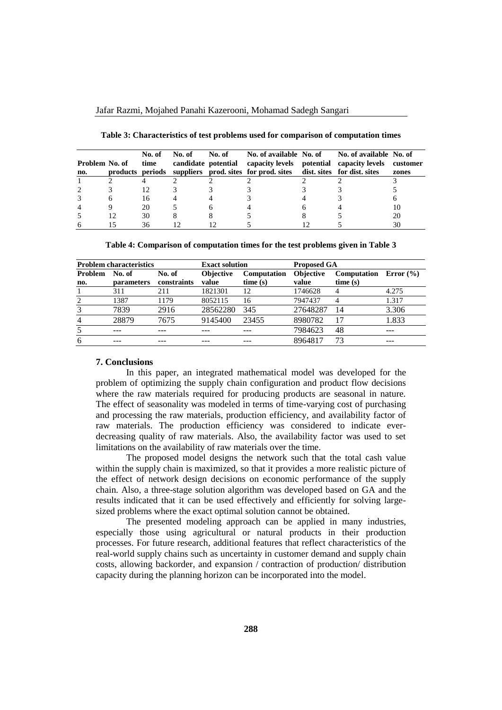| Problem No. of<br>no. | No. of<br>time | No. of | No. of | candidate potential capacity levels potential capacity levels<br>products periods suppliers prod. sites for prod. sites dist. sites for dist. sites | No. of available No. of No. of available No. of | customer<br>zones |
|-----------------------|----------------|--------|--------|-----------------------------------------------------------------------------------------------------------------------------------------------------|-------------------------------------------------|-------------------|
|                       |                |        |        |                                                                                                                                                     |                                                 |                   |
|                       |                |        |        |                                                                                                                                                     |                                                 |                   |
|                       | 16             |        |        |                                                                                                                                                     |                                                 |                   |
|                       | 20             |        |        |                                                                                                                                                     |                                                 | 10                |
|                       | 30             |        |        |                                                                                                                                                     |                                                 | 20                |
|                       | 36             |        |        |                                                                                                                                                     |                                                 | 30                |

**Table 3: Characteristics of test problems used for comparison of computation times**

**Table 4: Comparison of computation times for the test problems given in Table 3**

|                       | <b>Problem characteristics</b> |                       | <b>Exact solution</b>     |                               | <b>Proposed GA</b>        |                                      |       |
|-----------------------|--------------------------------|-----------------------|---------------------------|-------------------------------|---------------------------|--------------------------------------|-------|
| <b>Problem</b><br>no. | No. of<br><b>parameters</b>    | No. of<br>constraints | <b>Objective</b><br>value | <b>Computation</b><br>time(s) | <b>Objective</b><br>value | Computation Error $(\% )$<br>time(s) |       |
|                       | 311                            | 211                   | 1821301                   | 12                            | 1746628                   | 4                                    | 4.275 |
| 2                     | 1387                           | 1179                  | 8052115                   | 16                            | 7947437                   | 4                                    | 1.317 |
| 3                     | 7839                           | 2916                  | 28562280                  | 345                           | 27648287                  | 14                                   | 3.306 |
| $\overline{4}$        | 28879                          | 7675                  | 9145400                   | 23455                         | 8980782                   | 17                                   | 1.833 |
| 5                     |                                |                       |                           |                               | 7984623                   | 48                                   |       |
| 6                     |                                |                       |                           |                               | 8964817                   | 73                                   |       |

#### **7. Conclusions**

In this paper, an integrated mathematical model was developed for the problem of optimizing the supply chain configuration and product flow decisions where the raw materials required for producing products are seasonal in nature. The effect of seasonality was modeled in terms of time-varying cost of purchasing and processing the raw materials, production efficiency, and availability factor of raw materials. The production efficiency was considered to indicate everdecreasing quality of raw materials. Also, the availability factor was used to set limitations on the availability of raw materials over the time.

The proposed model designs the network such that the total cash value within the supply chain is maximized, so that it provides a more realistic picture of the effect of network design decisions on economic performance of the supply chain. Also, a three-stage solution algorithm was developed based on GA and the results indicated that it can be used effectively and efficiently for solving largesized problems where the exact optimal solution cannot be obtained.

The presented modeling approach can be applied in many industries, especially those using agricultural or natural products in their production processes. For future research, additional features that reflect characteristics of the real-world supply chains such as uncertainty in customer demand and supply chain costs, allowing backorder, and expansion / contraction of production/ distribution capacity during the planning horizon can be incorporated into the model.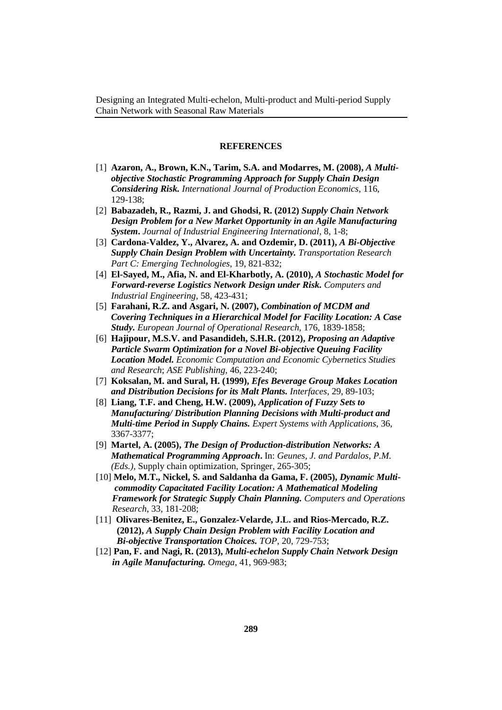#### **REFERENCES**

- [1] **Azaron, A., Brown, K.N., Tarim, S.A. and Modarres, M. (2008),** *A Multiobjective Stochastic Programming Approach for Supply Chain Design Considering Risk. International Journal of Production Economics*, 116, 129-138;
- [2] **Babazadeh, R., Razmi, J. and Ghodsi, R. (2012)** *Supply Chain Network Design Problem for a New Market Opportunity in an Agile Manufacturing System***.** *Journal of Industrial Engineering International*, 8, 1-8;
- [3] **Cardona-Valdez, Y., Alvarez, A. and Ozdemir, D. (2011),** *A Bi-Objective Supply Chain Design Problem with Uncertainty. Transportation Research Part C: Emerging Technologies*, 19, 821-832;
- [4] **El-Sayed, M., Afia, N. and El-Kharbotly, A. (2010),** *A Stochastic Model for Forward-reverse Logistics Network Design under Risk. Computers and Industrial Engineering*, 58, 423-431;
- [5] **Farahani, R.Z. and Asgari, N. (2007),** *Combination of MCDM and Covering Techniques in a Hierarchical Model for Facility Location: A Case Study. European Journal of Operational Research,* 176, 1839-1858;
- [6] **Hajipour, M.S.V. and Pasandideh, S.H.R. (2012),** *Proposing an Adaptive Particle Swarm Optimization for a Novel Bi-objective Queuing Facility Location Model. Economic Computation and Economic Cybernetics Studies and Research*; *ASE Publishing*, 46, 223-240;
- [7] **Koksalan, M. and Sural, H. (1999),** *Efes Beverage Group Makes Location and Distribution Decisions for its Malt Plants. Interfaces*, 29, 89-103;
- [8] **Liang, T.F. and Cheng, H.W. (2009),** *Application of Fuzzy Sets to Manufacturing/ Distribution Planning Decisions with Multi-product and Multi-time Period in Supply Chains. Expert Systems with Applications*, 36, 3367-3377;
- [9] **Martel, A. (2005),** *The Design of Production-distribution Networks: A Mathematical Programming Approach***.** In: *Geunes, J. and Pardalos, P.M. (Eds.),* Supply chain optimization, Springer, 265-305;
- [10] **Melo, M.T., Nickel, S. and Saldanha da Gama, F. (2005),** *Dynamic Multi commodity Capacitated Facility Location: A Mathematical Modeling Framework for Strategic Supply Chain Planning. Computers and Operations Research*, 33, 181-208;
- [11] **Olivares-Benitez, E., Gonzalez-Velarde, J.L. and Rios-Mercado, R.Z. (2012),** *A Supply Chain Design Problem with Facility Location and Bi-objective Transportation Choices. TOP*, 20, 729-753;
- [12] **Pan, F. and Nagi, R. (2013),** *Multi-echelon Supply Chain Network Design in Agile Manufacturing. Omega*, 41, 969-983;